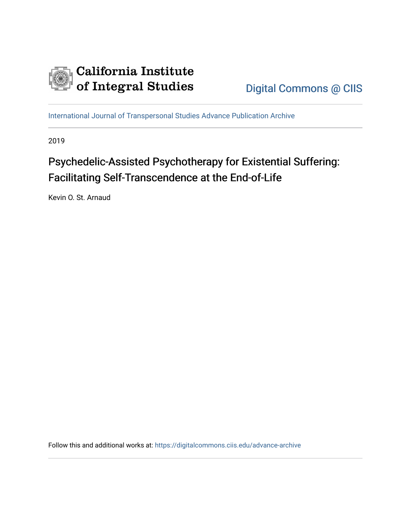

[International Journal of Transpersonal Studies Advance Publication Archive](https://digitalcommons.ciis.edu/advance-archive)

2019

# Psychedelic-Assisted Psychotherapy for Existential Suffering: Facilitating Self-Transcendence at the End-of-Life

Kevin O. St. Arnaud

Follow this and additional works at: [https://digitalcommons.ciis.edu/advance-archive](https://digitalcommons.ciis.edu/advance-archive?utm_source=digitalcommons.ciis.edu%2Fadvance-archive%2F30&utm_medium=PDF&utm_campaign=PDFCoverPages)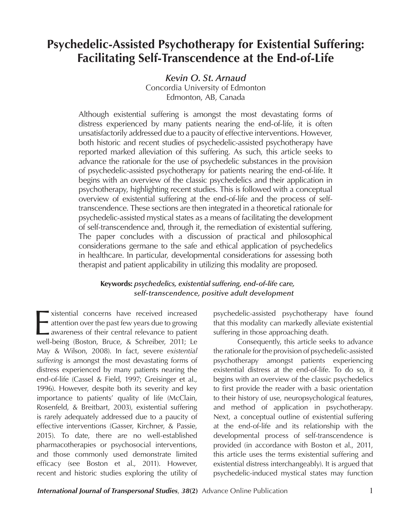# **Psychedelic-Assisted Psychotherapy for Existential Suffering: Facilitating Self-Transcendence at the End-of-Life**

*Kevin O. St. Arnaud*

Concordia University of Edmonton Edmonton, AB, Canada

Although existential suffering is amongst the most devastating forms of distress experienced by many patients nearing the end-of-life, it is often unsatisfactorily addressed due to a paucity of effective interventions. However, both historic and recent studies of psychedelic-assisted psychotherapy have reported marked alleviation of this suffering. As such, this article seeks to advance the rationale for the use of psychedelic substances in the provision of psychedelic-assisted psychotherapy for patients nearing the end-of-life. It begins with an overview of the classic psychedelics and their application in psychotherapy, highlighting recent studies. This is followed with a conceptual overview of existential suffering at the end-of-life and the process of selftranscendence. These sections are then integrated in a theoretical rationale for psychedelic-assisted mystical states as a means of facilitating the development of self-transcendence and, through it, the remediation of existential suffering. The paper concludes with a discussion of practical and philosophical considerations germane to the safe and ethical application of psychedelics in healthcare. In particular, developmental considerations for assessing both therapist and patient applicability in utilizing this modality are proposed.

# **Keywords:** *psychedelics, existential suffering, end-of-life care, self-transcendence, positive adult development*

xistential concerns have received increased<br>attention over the past few years due to growing<br>awareness of their central relevance to patient<br>well-being (Boston, Bruce, & Schreiber, 2011; Le xistential concerns have received increased - attention over the past few years due to growing awareness of their central relevance to patient May & Wilson, 2008). In fact, severe *existential suffering* is amongst the most devastating forms of distress experienced by many patients nearing the end-of-life (Cassel & Field, 1997; Greisinger et al., 1996). However, despite both its severity and key importance to patients' quality of life (McClain, Rosenfeld, & Breitbart, 2003), existential suffering is rarely adequately addressed due to a paucity of effective interventions (Gasser, Kirchner, & Passie, 2015). To date, there are no well-established pharmacotherapies or psychosocial interventions, and those commonly used demonstrate limited efficacy (see Boston et al., 2011). However, recent and historic studies exploring the utility of

psychedelic-assisted psychotherapy have found that this modality can markedly alleviate existential suffering in those approaching death.

Consequently, this article seeks to advance the rationale for the provision of psychedelic-assisted psychotherapy amongst patients experiencing existential distress at the end-of-life. To do so, it begins with an overview of the classic psychedelics to first provide the reader with a basic orientation to their history of use, neuropsychological features, and method of application in psychotherapy. Next, a conceptual outline of existential suffering at the end-of-life and its relationship with the developmental process of self-transcendence is provided (in accordance with Boston et al., 2011, this article uses the terms existential suffering and existential distress interchangeably). It is argued that psychedelic-induced mystical states may function

**International Journal of Transpersonal Studies, 38(2)** Advance Online Publication 1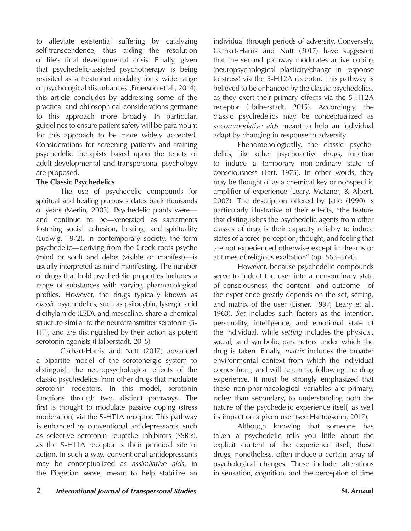to alleviate existential suffering by catalyzing self-transcendence, thus aiding the resolution of life's final developmental crisis. Finally, given that psychedelic-assisted psychotherapy is being revisited as a treatment modality for a wide range of psychological disturbances (Emerson et al., 2014), this article concludes by addressing some of the practical and philosophical considerations germane to this approach more broadly. In particular, guidelines to ensure patient safety will be paramount for this approach to be more widely accepted. Considerations for screening patients and training psychedelic therapists based upon the tenets of adult developmental and transpersonal psychology are proposed.

# **The Classic Psychedelics**

The use of psychedelic compounds for spiritual and healing purposes dates back thousands of years (Merlin, 2003). Psychedelic plants were and continue to be—venerated as sacraments fostering social cohesion, healing, and spirituality (Ludwig, 1972). In contemporary society, the term psychedelic—deriving from the Greek roots psyche (mind or soul) and delos (visible or manifest)—is usually interpreted as mind manifesting. The number of drugs that hold psychedelic properties includes a range of substances with varying pharmacological profiles. However, the drugs typically known as *classic* psychedelics, such as psilocybin, lysergic acid diethylamide (LSD), and mescaline, share a chemical structure similar to the neurotransmitter serotonin (5- HT), and are distinguished by their action as potent serotonin agonists (Halberstadt, 2015).

Carhart-Harris and Nutt (2017) advanced a bipartite model of the serotonergic system to distinguish the neuropsychological effects of the classic psychedelics from other drugs that modulate serotonin receptors. In this model, serotonin functions through two, distinct pathways. The first is thought to modulate passive coping (stress moderation) via the 5-HT1A receptor. This pathway is enhanced by conventional antidepressants, such as selective serotonin reuptake inhibitors (SSRIs), as the 5-HT1A receptor is their principal site of action. In such a way, conventional antidepressants may be conceptualized as *assimilative aids*, in the Piagetian sense, meant to help stabilize an

individual through periods of adversity. Conversely, Carhart-Harris and Nutt (2017) have suggested that the second pathway modulates active coping (neuropsychological plasticity/change in response to stress) via the 5-HT2A receptor. This pathway is believed to be enhanced by the classic psychedelics, as they exert their primary effects via the 5-HT2A receptor (Halberstadt, 2015). Accordingly, the classic psychedelics may be conceptualized as *accommodative aids* meant to help an individual adapt by changing in response to adversity.

Phenomenologically, the classic psychedelics, like other psychoactive drugs, function to induce a temporary non-ordinary state of consciousness (Tart, 1975). In other words, they may be thought of as a chemical key or nonspecific amplifier of experience (Leary, Metzner, & Alpert, 2007). The description offered by Jaffe (1990) is particularly illustrative of their effects, "the feature that distinguishes the psychedelic agents from other classes of drug is their capacity reliably to induce states of altered perception, thought, and feeling that are not experienced otherwise except in dreams or at times of religious exaltation" (pp. 563–564).

However, because psychedelic compounds serve to induct the user into a non-ordinary state of consciousness, the content—and outcome—of the experience greatly depends on the set, setting, and matrix of the user (Eisner, 1997; Leary et al., 1963). *Set* includes such factors as the intention, personality, intelligence, and emotional state of the individual, while *setting* includes the physical, social, and symbolic parameters under which the drug is taken. Finally, *matrix* includes the broader environmental context from which the individual comes from, and will return to, following the drug experience. It must be strongly emphasized that these non-pharmacological variables are primary, rather than secondary, to understanding both the nature of the psychedelic experience itself, as well its impact on a given user (see Hartogsohn, 2017).

Although knowing that someone has taken a psychedelic tells you little about the explicit content of the experience itself, these drugs, nonetheless, often induce a certain array of psychological changes. These include: alterations in sensation, cognition, and the perception of time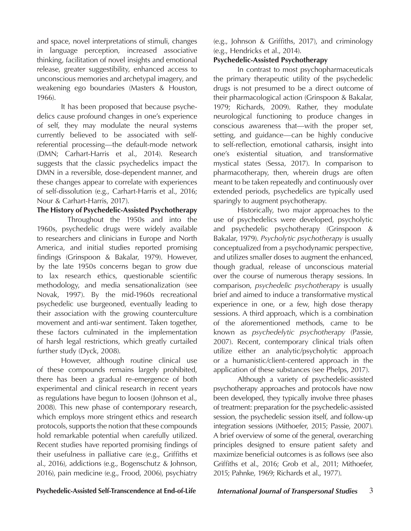and space, novel interpretations of stimuli, changes in language perception, increased associative thinking, facilitation of novel insights and emotional release, greater suggestibility, enhanced access to unconscious memories and archetypal imagery, and weakening ego boundaries (Masters & Houston, 1966).

It has been proposed that because psychedelics cause profound changes in one's experience of self, they may modulate the neural systems currently believed to be associated with selfreferential processing—the default-mode network (DMN; Carhart-Harris et al., 2014). Research suggests that the classic psychedelics impact the DMN in a reversible, dose-dependent manner, and these changes appear to correlate with experiences of self-dissolution (e.g., Carhart-Harris et al., 2016; Nour & Carhart-Harris, 2017).

# **The History of Psychedelic-Assisted Psychotherapy**

 Throughout the 1950s and into the 1960s, psychedelic drugs were widely available to researchers and clinicians in Europe and North America, and initial studies reported promising findings (Grinspoon & Bakalar, 1979). However, by the late 1950s concerns began to grow due to lax research ethics, questionable scientific methodology, and media sensationalization (see Novak, 1997). By the mid-1960s recreational psychedelic use burgeoned, eventually leading to their association with the growing counterculture movement and anti-war sentiment. Taken together, these factors culminated in the implementation of harsh legal restrictions, which greatly curtailed further study (Dyck, 2008).

However, although routine clinical use of these compounds remains largely prohibited, there has been a gradual re-emergence of both experimental and clinical research in recent years as regulations have begun to loosen (Johnson et al., 2008). This new phase of contemporary research, which employs more stringent ethics and research protocols, supports the notion that these compounds hold remarkable potential when carefully utilized. Recent studies have reported promising findings of their usefulness in palliative care (e.g., Griffiths et al., 2016), addictions (e.g., Bogenschutz & Johnson, 2016), pain medicine (e.g., Frood, 2006), psychiatry

(e.g., Johnson & Griffiths, 2017), and criminology (e.g., Hendricks et al., 2014).

## **Psychedelic-Assisted Psychotherapy**

In contrast to most psychopharmaceuticals the primary therapeutic utility of the psychedelic drugs is not presumed to be a direct outcome of their pharmacological action (Grinspoon & Bakalar, 1979; Richards, 2009). Rather, they modulate neurological functioning to produce changes in conscious awareness that—with the proper set, setting, and guidance—can be highly conducive to self-reflection, emotional catharsis, insight into one's existential situation, and transformative mystical states (Sessa, 2017). In comparison to pharmacotherapy, then, wherein drugs are often meant to be taken repeatedly and continuously over extended periods, psychedelics are typically used sparingly to augment psychotherapy.

Historically, two major approaches to the use of psychedelics were developed, psycholytic and psychedelic psychotherapy (Grinspoon & Bakalar, 1979). *Psycholytic psychotherapy* is usually conceptualized from a psychodynamic perspective, and utilizes smaller doses to augment the enhanced, though gradual, release of unconscious material over the course of numerous therapy sessions. In comparison, *psychedelic psychotherapy* is usually brief and aimed to induce a transformative mystical experience in one, or a few, high dose therapy sessions. A third approach, which is a combination of the aforementioned methods, came to be known as *psychedelytic psychotherapy* (Passie, 2007). Recent, contemporary clinical trials often utilize either an analytic/psycholytic approach or a humanistic/client-centered approach in the application of these substances (see Phelps, 2017).

Although a variety of psychedelic-assisted psychotherapy approaches and protocols have now been developed, they typically involve three phases of treatment: preparation for the psychedelic-assisted session, the psychedelic session itself, and follow-up integration sessions (Mithoefer, 2015; Passie, 2007). A brief overview of some of the general, overarching principles designed to ensure patient safety and maximize beneficial outcomes is as follows (see also Griffiths et al., 2016; Grob et al., 2011; Mithoefer, 2015; Pahnke, 1969; Richards et al., 1977).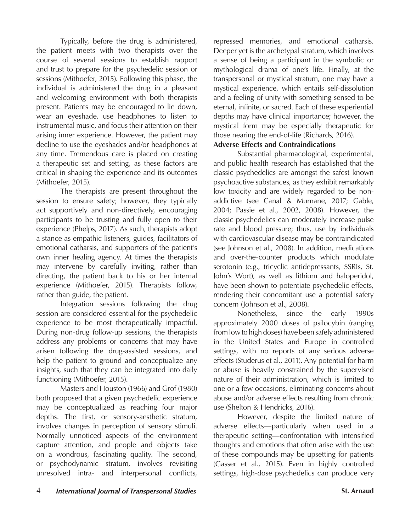Typically, before the drug is administered, the patient meets with two therapists over the course of several sessions to establish rapport and trust to prepare for the psychedelic session or sessions (Mithoefer, 2015). Following this phase, the individual is administered the drug in a pleasant and welcoming environment with both therapists present. Patients may be encouraged to lie down, wear an eyeshade, use headphones to listen to instrumental music, and focus their attention on their arising inner experience. However, the patient may decline to use the eyeshades and/or headphones at any time. Tremendous care is placed on creating a therapeutic set and setting, as these factors are critical in shaping the experience and its outcomes (Mithoefer, 2015).

The therapists are present throughout the session to ensure safety; however, they typically act supportively and non-directively, encouraging participants to be trusting and fully open to their experience (Phelps, 2017). As such, therapists adopt a stance as empathic listeners, guides, facilitators of emotional catharsis, and supporters of the patient's own inner healing agency. At times the therapists may intervene by carefully inviting, rather than directing, the patient back to his or her internal experience (Mithoefer, 2015). Therapists follow, rather than guide, the patient.

Integration sessions following the drug session are considered essential for the psychedelic experience to be most therapeutically impactful. During non-drug follow-up sessions, the therapists address any problems or concerns that may have arisen following the drug-assisted sessions, and help the patient to ground and conceptualize any insights, such that they can be integrated into daily functioning (Mithoefer, 2015).

Masters and Houston (1966) and Grof (1980) both proposed that a given psychedelic experience may be conceptualized as reaching four major depths. The first, or sensory-aesthetic stratum, involves changes in perception of sensory stimuli. Normally unnoticed aspects of the environment capture attention, and people and objects take on a wondrous, fascinating quality. The second, or psychodynamic stratum, involves revisiting unresolved intra- and interpersonal conflicts,

repressed memories, and emotional catharsis. Deeper yet is the archetypal stratum, which involves a sense of being a participant in the symbolic or mythological drama of one's life. Finally, at the transpersonal or mystical stratum, one may have a mystical experience, which entails self-dissolution and a feeling of unity with something sensed to be eternal, infinite, or sacred. Each of these experiential depths may have clinical importance; however, the mystical form may be especially therapeutic for those nearing the end-of-life (Richards, 2016).

### **Adverse Effects and Contraindications**

Substantial pharmacological, experimental, and public health research has established that the classic psychedelics are amongst the safest known psychoactive substances, as they exhibit remarkably low toxicity and are widely regarded to be nonaddictive (see Canal & Murnane, 2017; Gable, 2004; Passie et al., 2002, 2008). However, the classic psychedelics can moderately increase pulse rate and blood pressure; thus, use by individuals with cardiovascular disease may be contraindicated (see Johnson et al., 2008). In addition, medications and over-the-counter products which modulate serotonin (e.g., tricyclic antidepressants, SSRIs, St. John's Wort), as well as lithium and haloperidol, have been shown to potentiate psychedelic effects, rendering their concomitant use a potential safety concern (Johnson et al., 2008).

Nonetheless, since the early 1990s approximately 2000 doses of psilocybin (ranging from low to high doses) have been safely administered in the United States and Europe in controlled settings, with no reports of any serious adverse effects (Studerus et al., 2011). Any potential for harm or abuse is heavily constrained by the supervised nature of their administration, which is limited to one or a few occasions, eliminating concerns about abuse and/or adverse effects resulting from chronic use (Shelton & Hendricks, 2016).

However, despite the limited nature of adverse effects—particularly when used in a therapeutic setting—confrontation with intensified thoughts and emotions that often arise with the use of these compounds may be upsetting for patients (Gasser et al., 2015). Even in highly controlled settings, high-dose psychedelics can produce very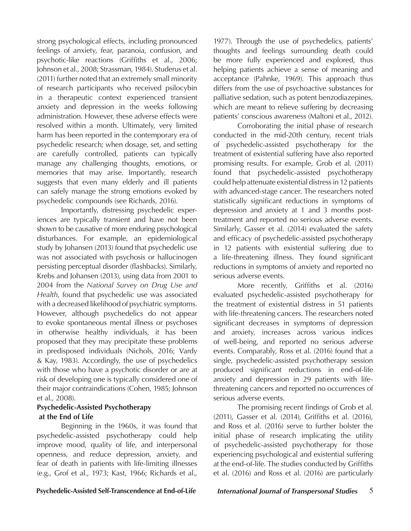strong psychological effects, including pronounced feelings of anxiety, fear, paranoia, confusion, and psychotic-like reactions (Griffiths et al., 2006; Johnson et al., 2008; Strassman, 1984). Studerus et al. (2011) further noted that an extremely small minority of research participants who received psilocybin in a therapeutic context experienced transient anxiety and depression in the weeks following administration. However, these adverse effects were resolved within a month. Ultimately, very limited harm has been reported in the contemporary era of psychedelic research; when dosage, set, and setting are carefully controlled, patients can typically manage any challenging thoughts, emotions, or memories that may arise. Importantly, research suggests that even many elderly and ill patients can safely manage the strong emotions evoked by psychedelic compounds (see Richards, 2016).

Importantly, distressing psychedelic experiences are typically transient and have not been shown to be causative of more enduring psychological disturbances. For example, an epidemiological study by Johansen (2013) found that psychedelic use was not associated with psychosis or hallucinogen persisting perceptual disorder (flashbacks). Similarly, Krebs and Johansen (2013), using data from 2001 to 2004 from the *National Survey on Drug Use and Health*, found that psychedelic use was associated with a decreased likelihood of psychiatric symptoms. However, although psychedelics do not appear to evoke spontaneous mental illness or psychoses in otherwise healthy individuals, it has been proposed that they may precipitate these problems in predisposed individuals (Nichols, 2016; Vardy & Kay, 1983). Accordingly, the use of psychedelics with those who have a psychotic disorder or are at risk of developing one is typically considered one of their major contraindications (Cohen, 1985; Johnson et al., 2008).

# **Psychedelic-Assisted Psychotherapy at the End of Life**

Beginning in the 1960s, it was found that psychedelic-assisted psychotherapy could help improve mood, quality of life, and interpersonal openness, and reduce depression, anxiety, and fear of death in patients with life-limiting illnesses (e.g., Grof et al., 1973; Kast, 1966; Richards et al.,

1977). Through the use of psychedelics, patients' thoughts and feelings surrounding death could be more fully experienced and explored, thus helping patients achieve a sense of meaning and acceptance (Pahnke, 1969). This approach thus differs from the use of psychoactive substances for palliative sedation, such as potent benzodiazepines, which are meant to relieve suffering by decreasing patients' conscious awareness (Maltoni et al., 2012).

Corroborating the initial phase of research conducted in the mid-20th century, recent trials of psychedelic-assisted psychotherapy for the treatment of existential suffering have also reported promising results. For example, Grob et al. (2011) found that psychedelic-assisted psychotherapy could help attenuate existential distress in 12 patients with advanced-stage cancer. The researchers noted statistically significant reductions in symptoms of depression and anxiety at 1 and 3 months posttreatment and reported no serious adverse events. Similarly, Gasser et al. (2014) evaluated the safety and efficacy of psychedelic-assisted psychotherapy in 12 patients with existential suffering due to a life-threatening illness. They found significant reductions in symptoms of anxiety and reported no serious adverse events.

More recently, Griffiths et al. (2016) evaluated psychedelic-assisted psychotherapy for the treatment of existential distress in 51 patients with life-threatening cancers. The researchers noted significant decreases in symptoms of depression and anxiety, increases across various indices of well-being, and reported no serious adverse events. Comparably, Ross et al. (2016) found that a single, psychedelic-assisted psychotherapy session produced significant reductions in end-of-life anxiety and depression in 29 patients with lifethreatening cancers and reported no occurrences of serious adverse events.

The promising recent findings of Grob et al. (2011), Gasser et al. (2014), Griffiths et al. (2016), and Ross et al. (2016) serve to further bolster the initial phase of research implicating the utility of psychedelic-assisted psychotherapy for those experiencing psychological and existential suffering at the end-of-life. The studies conducted by Griffiths et al. (2016) and Ross et al. (2016) are particularly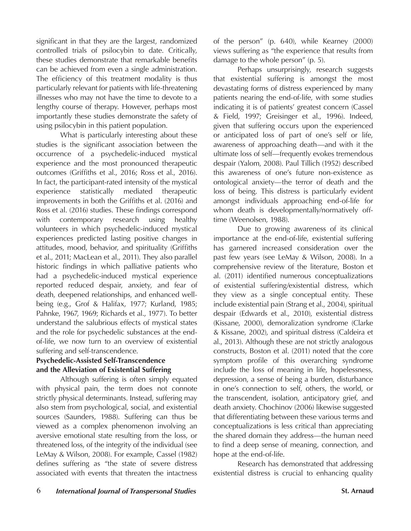significant in that they are the largest, randomized controlled trials of psilocybin to date. Critically, these studies demonstrate that remarkable benefits can be achieved from even a single administration. The efficiency of this treatment modality is thus particularly relevant for patients with life-threatening illnesses who may not have the time to devote to a lengthy course of therapy. However, perhaps most importantly these studies demonstrate the safety of using psilocybin in this patient population.

What is particularly interesting about these studies is the significant association between the occurrence of a psychedelic-induced mystical experience and the most pronounced therapeutic outcomes (Griffiths et al., 2016; Ross et al., 2016). In fact, the participant-rated intensity of the mystical experience statistically mediated therapeutic improvements in both the Griffiths et al. (2016) and Ross et al. (2016) studies. These findings correspond with contemporary research using healthy volunteers in which psychedelic-induced mystical experiences predicted lasting positive changes in attitudes, mood, behavior, and spirituality (Griffiths et al., 2011; MacLean et al., 2011). They also parallel historic findings in which palliative patients who had a psychedelic-induced mystical experience reported reduced despair, anxiety, and fear of death, deepened relationships, and enhanced wellbeing (e.g., Grof & Halifax, 1977; Kurland, 1985; Pahnke, 1967, 1969; Richards et al., 1977). To better understand the salubrious effects of mystical states and the role for psychedelic substances at the endof-life, we now turn to an overview of existential suffering and self-transcendence.

# **Psychedelic-Assisted Self-Transcendence and the Alleviation of Existential Suffering**

Although suffering is often simply equated with physical pain, the term does not connote strictly physical determinants. Instead, suffering may also stem from psychological, social, and existential sources (Saunders, 1988). Suffering can thus be viewed as a complex phenomenon involving an aversive emotional state resulting from the loss, or threatened loss, of the integrity of the individual (see LeMay & Wilson, 2008). For example, Cassel (1982) defines suffering as "the state of severe distress associated with events that threaten the intactness

of the person" (p. 640), while Kearney (2000) views suffering as "the experience that results from damage to the whole person" (p. 5).

Perhaps unsurprisingly, research suggests that existential suffering is amongst the most devastating forms of distress experienced by many patients nearing the end-of-life, with some studies indicating it is of patients' greatest concern (Cassel & Field, 1997; Greisinger et al., 1996). Indeed, given that suffering occurs upon the experienced or anticipated loss of part of one's self or life, awareness of approaching death—and with it the ultimate loss of self—frequently evokes tremendous despair (Yalom, 2008). Paul Tillich (1952) described this awareness of one's future non-existence as ontological anxiety—the terror of death and the loss of being. This distress is particularly evident amongst individuals approaching end-of-life for whom death is developmentally/normatively offtime (Weenolsen, 1988).

Due to growing awareness of its clinical importance at the end-of-life, existential suffering has garnered increased consideration over the past few years (see LeMay & Wilson, 2008). In a comprehensive review of the literature, Boston et al. (2011) identified numerous conceptualizations of existential suffering/existential distress, which they view as a single conceptual entity. These include existential pain (Strang et al., 2004), spiritual despair (Edwards et al., 2010), existential distress (Kissane, 2000), demoralization syndrome (Clarke & Kissane, 2002), and spiritual distress (Caldeira et al., 2013). Although these are not strictly analogous constructs, Boston et al. (2011) noted that the core symptom profile of this overarching syndrome include the loss of meaning in life, hopelessness, depression, a sense of being a burden, disturbance in one's connection to self, others, the world, or the transcendent, isolation, anticipatory grief, and death anxiety. Chochinov (2006) likewise suggested that differentiating between these various terms and conceptualizations is less critical than appreciating the shared domain they address—the human need to find a deep sense of meaning, connection, and hope at the end-of-life.

Research has demonstrated that addressing existential distress is crucial to enhancing quality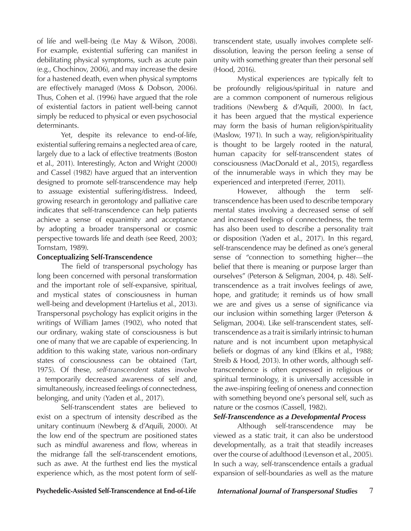of life and well-being (Le May & Wilson, 2008). For example, existential suffering can manifest in debilitating physical symptoms, such as acute pain (e.g., Chochinov, 2006), and may increase the desire for a hastened death, even when physical symptoms are effectively managed (Moss & Dobson, 2006). Thus, Cohen et al. (1996) have argued that the role of existential factors in patient well-being cannot simply be reduced to physical or even psychosocial determinants.

Yet, despite its relevance to end-of-life, existential suffering remains a neglected area of care, largely due to a lack of effective treatments (Boston et al., 2011). Interestingly, Acton and Wright (2000) and Cassel (1982) have argued that an intervention designed to promote self-transcendence may help to assuage existential suffering/distress. Indeed, growing research in gerontology and palliative care indicates that self-transcendence can help patients achieve a sense of equanimity and acceptance by adopting a broader transpersonal or cosmic perspective towards life and death (see Reed, 2003; Tornstam, 1989).

### **Conceptualizing Self-Transcendence**

The field of transpersonal psychology has long been concerned with personal transformation and the important role of self-expansive, spiritual, and mystical states of consciousness in human well-being and development (Hartelius et al., 2013). Transpersonal psychology has explicit origins in the writings of William James (1902), who noted that our ordinary, waking state of consciousness is but one of many that we are capable of experiencing. In addition to this waking state, various non-ordinary states of consciousness can be obtained (Tart, 1975). Of these, *self-transcendent* states involve a temporarily decreased awareness of self and, simultaneously, increased feelings of connectedness, belonging, and unity (Yaden et al., 2017).

Self-transcendent states are believed to exist on a spectrum of intensity described as the unitary continuum (Newberg & d'Aquili, 2000). At the low end of the spectrum are positioned states such as mindful awareness and flow, whereas in the midrange fall the self-transcendent emotions, such as awe. At the furthest end lies the mystical experience which, as the most potent form of selftranscendent state, usually involves complete selfdissolution, leaving the person feeling a sense of unity with something greater than their personal self (Hood, 2016).

Mystical experiences are typically felt to be profoundly religious/spiritual in nature and are a common component of numerous religious traditions (Newberg & d'Aquili, 2000). In fact, it has been argued that the mystical experience may form the basis of human religion/spirituality (Maslow, 1971). In such a way, religion/spirituality is thought to be largely rooted in the natural, human capacity for self-transcendent states of consciousness (MacDonald et al., 2015), regardless of the innumerable ways in which they may be experienced and interpreted (Ferrer, 2011).

However, although the term selftranscendence has been used to describe temporary mental states involving a decreased sense of self and increased feelings of connectedness, the term has also been used to describe a personality trait or disposition (Yaden et al., 2017). In this regard, self-transcendence may be defined as one's general sense of "connection to something higher—the belief that there is meaning or purpose larger than ourselves" (Peterson & Seligman, 2004, p. 48). Selftranscendence as a trait involves feelings of awe, hope, and gratitude; it reminds us of how small we are and gives us a sense of significance via our inclusion within something larger (Peterson & Seligman, 2004). Like self-transcendent states, selftranscendence as a trait is similarly intrinsic to human nature and is not incumbent upon metaphysical beliefs or dogmas of any kind (Elkins et al., 1988; Streib & Hood, 2013). In other words, although selftranscendence is often expressed in religious or spiritual terminology, it is universally accessible in the awe-inspiring feeling of oneness and connection with something beyond one's personal self, such as nature or the cosmos (Cassell, 1982).

### *Self-Transcendence as a Developmental Process*

Although self-transcendence may be viewed as a static trait, it can also be understood developmentally, as a trait that steadily increases over the course of adulthood (Levenson et al., 2005). In such a way, self-transcendence entails a gradual expansion of self-boundaries as well as the mature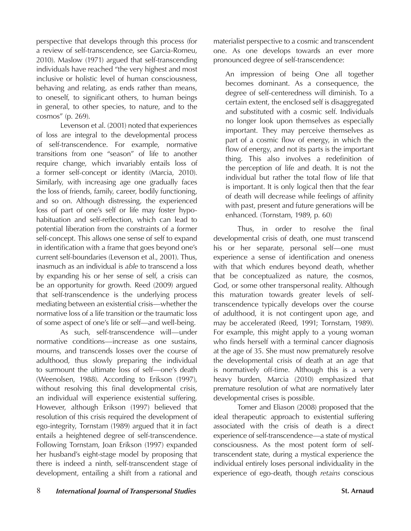perspective that develops through this process (for a review of self-transcendence, see Garcia-Romeu, 2010). Maslow (1971) argued that self-transcending individuals have reached "the very highest and most inclusive or holistic level of human consciousness, behaving and relating, as ends rather than means, to oneself, to significant others, to human beings in general, to other species, to nature, and to the cosmos" (p. 269).

Levenson et al. (2001) noted that experiences of loss are integral to the developmental process of self-transcendence. For example, normative transitions from one "season" of life to another require change, which invariably entails loss of a former self-concept or identity (Marcia, 2010). Similarly, with increasing age one gradually faces the loss of friends, family, career, bodily functioning, and so on. Although distressing, the experienced loss of part of one's self or life may foster hypohabituation and self-reflection, which can lead to potential liberation from the constraints of a former self-concept. This allows one sense of self to expand in identification with a frame that goes beyond one's current self-boundaries (Levenson et al., 2001). Thus, inasmuch as an individual is *able* to transcend a loss by expanding his or her sense of self, a crisis can be an opportunity for growth. Reed (2009) argued that self-transcendence is the underlying process mediating between an existential crisis—whether the normative loss of a life transition or the traumatic loss of some aspect of one's life or self—and well-being.

As such, self-transcendence will—under normative conditions—increase as one sustains, mourns, and transcends losses over the course of adulthood, thus slowly preparing the individual to surmount the ultimate loss of self—one's death (Weenolsen, 1988). According to Erikson (1997), without resolving this final developmental crisis, an individual will experience existential suffering. However, although Erikson (1997) believed that resolution of this crisis required the development of ego-integrity, Tornstam (1989) argued that it in fact entails a heightened degree of self-transcendence. Following Tornstam, Joan Erikson (1997) expanded her husband's eight-stage model by proposing that there is indeed a ninth, self-transcendent stage of development, entailing a shift from a rational and

materialist perspective to a cosmic and transcendent one. As one develops towards an ever more pronounced degree of self-transcendence:

An impression of being One all together becomes dominant. As a consequence, the degree of self-centeredness will diminish. To a certain extent, the enclosed self is disaggregated and substituted with a cosmic self. Individuals no longer look upon themselves as especially important. They may perceive themselves as part of a cosmic flow of energy, in which the flow of energy, and not its parts is the important thing. This also involves a redefinition of the perception of life and death. It is not the individual but rather the total flow of life that is important. It is only logical then that the fear of death will decrease while feelings of affinity with past, present and future generations will be enhanced. (Tornstam, 1989, p. 60)

Thus, in order to resolve the final developmental crisis of death, one must transcend his or her separate, personal self—one must experience a sense of identification and oneness with that which endures beyond death, whether that be conceptualized as nature, the cosmos, God, or some other transpersonal reality. Although this maturation towards greater levels of selftranscendence typically develops over the course of adulthood, it is not contingent upon age, and may be accelerated (Reed, 1991; Tornstam, 1989). For example, this might apply to a young woman who finds herself with a terminal cancer diagnosis at the age of 35. She must now prematurely resolve the developmental crisis of death at an age that is normatively off-time. Although this is a very heavy burden, Marcia (2010) emphasized that premature resolution of what are normatively later developmental crises is possible.

Tomer and Eliason (2008) proposed that the ideal therapeutic approach to existential suffering associated with the crisis of death is a direct experience of self-transcendence—a state of mystical consciousness. As the most potent form of selftranscendent state, during a mystical experience the individual entirely loses personal individuality in the experience of ego-death, though *retains* conscious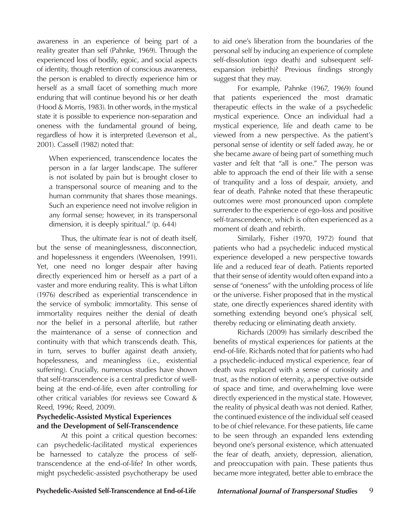awareness in an experience of being part of a reality greater than self (Pahnke, 1969). Through the experienced loss of bodily, egoic, and social aspects of identity, though retention of conscious awareness, the person is enabled to directly experience him or herself as a small facet of something much more enduring that will continue beyond his or her death (Hood & Morris, 1983). In other words, in the mystical state it is possible to experience non-separation and oneness with the fundamental ground of being, regardless of how it is interpreted (Levenson et al., 2001). Cassell (1982) noted that:

When experienced, transcendence locates the person in a far larger landscape. The sufferer is not isolated by pain but is brought closer to a transpersonal source of meaning and to the human community that shares those meanings. Such an experience need not involve religion in any formal sense; however, in its transpersonal dimension, it is deeply spiritual." (p. 644)

Thus, the ultimate fear is not of death itself, but the sense of meaninglessness, disconnection, and hopelessness it engenders (Weenolsen, 1991). Yet, one need no longer despair after having directly experienced him or herself as a part of a vaster and more enduring reality. This is what Lifton (1976) described as experiential transcendence in the service of symbolic immortality. This sense of immortality requires neither the denial of death nor the belief in a personal afterlife, but rather the maintenance of a sense of connection and continuity with that which transcends death. This, in turn, serves to buffer against death anxiety, hopelessness, and meaningless (i.e., existential suffering). Crucially, numerous studies have shown that self-transcendence is a central predictor of wellbeing at the end-of-life, even after controlling for other critical variables (for reviews see Coward & Reed, 1996; Reed, 2009).

# **Psychedelic-Assisted Mystical Experiences and the Development of Self-Transcendence**

At this point a critical question becomes: can psychedelic-facilitated mystical experiences be harnessed to catalyze the process of selftranscendence at the end-of-life? In other words, might psychedelic-assisted psychotherapy be used to aid one's liberation from the boundaries of the personal self by inducing an experience of complete self-dissolution (ego death) and subsequent selfexpansion (rebirth)? Previous findings strongly suggest that they may.

For example, Pahnke (1967, 1969) found that patients experienced the most dramatic therapeutic effects in the wake of a psychedelic mystical experience. Once an individual had a mystical experience, life and death came to be viewed from a new perspective. As the patient's personal sense of identity or self faded away, he or she became aware of being part of something much vaster and felt that "all is one." The person was able to approach the end of their life with a sense of tranquility and a loss of despair, anxiety, and fear of death. Pahnke noted that these therapeutic outcomes were most pronounced upon complete surrender to the experience of ego-loss and positive self-transcendence, which is often experienced as a moment of death and rebirth.

Similarly, Fisher (1970, 1972) found that patients who had a psychedelic induced mystical experience developed a new perspective towards life and a reduced fear of death. Patients reported that their sense of identity would often expand into a sense of "oneness" with the unfolding process of life or the universe. Fisher proposed that in the mystical state, one directly experiences shared identity with something extending beyond one's physical self, thereby reducing or eliminating death anxiety.

Richards (2009) has similarly described the benefits of mystical experiences for patients at the end-of-life. Richards noted that for patients who had a psychedelic-induced mystical experience, fear of death was replaced with a sense of curiosity and trust, as the notion of eternity, a perspective outside of space and time, and overwhelming love were directly experienced in the mystical state. However, the reality of physical death was not denied. Rather, the continued existence of the individual self ceased to be of chief relevance. For these patients, life came to be seen through an expanded lens extending beyond one's personal existence, which attenuated the fear of death, anxiety, depression, alienation, and preoccupation with pain. These patients thus became more integrated, better able to embrace the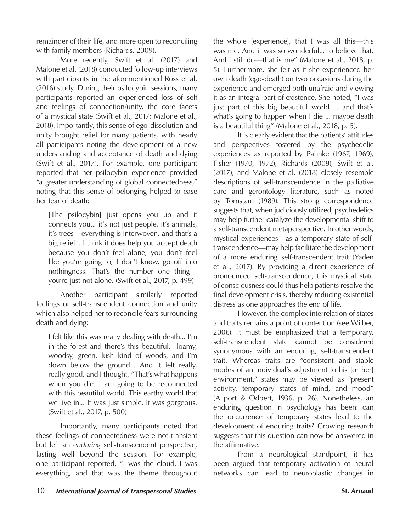remainder of their life, and more open to reconciling with family members (Richards, 2009).

More recently, Swift et al. (2017) and Malone et al. (2018) conducted follow-up interviews with participants in the aforementioned Ross et al. (2016) study. During their psilocybin sessions, many participants reported an experienced loss of self and feelings of connection/unity, the core facets of a mystical state (Swift et al., 2017; Malone et al., 2018). Importantly, this sense of ego-dissolution and unity brought relief for many patients, with nearly all participants noting the development of a new understanding and acceptance of death and dying (Swift et al., 2017). For example, one participant reported that her psilocybin experience provided "a greater understanding of global connectedness," noting that this sense of belonging helped to ease her fear of death:

[The psilocybin] just opens you up and it connects you... it's not just people, it's animals, it's trees—everything is interwoven, and that's a big relief... I think it does help you accept death because you don't feel alone, you don't feel like you're going to, I don't know, go off into nothingness. That's the number one thing you're just not alone. (Swift et al., 2017, p. 499)

Another participant similarly reported feelings of self-transcendent connection and unity which also helped her to reconcile fears surrounding death and dying:

I felt like this was really dealing with death... I'm in the forest and there's this beautiful, loamy, woodsy, green, lush kind of woods, and I'm down below the ground... And it felt really, really good, and I thought, "That's what happens when you die. I am going to be reconnected with this beautiful world. This earthy world that we live in... It was just simple. It was gorgeous. (Swift et al., 2017, p. 500)

Importantly, many participants noted that these feelings of connectedness were not transient but left an *enduring* self-transcendent perspective, lasting well beyond the session. For example, one participant reported, "I was the cloud, I was everything, and that was the theme throughout the whole [experience], that I was all this—this was me. And it was so wonderful... to believe that. And I still do—that is me" (Malone et al., 2018, p. 5). Furthermore, she felt as if she experienced her own death (ego-death) on two occasions during the experience and emerged both unafraid and viewing it as an integral part of existence. She noted, "I was just part of this big beautiful world ... and that's what's going to happen when I die ... maybe death is a beautiful thing" (Malone et al., 2018, p. 5).

It is clearly evident that the patients' attitudes and perspectives fostered by the psychedelic experiences as reported by Pahnke (1967, 1969), Fisher (1970, 1972), Richards (2009), Swift et al. (2017), and Malone et al. (2018) closely resemble descriptions of self-transcendence in the palliative care and gerontology literature, such as noted by Tornstam (1989). This strong correspondence suggests that, when judiciously utilized, psychedelics may help further catalyze the developmental shift to a self-transcendent metaperspective. In other words, mystical experiences—as a temporary state of selftranscendence—may help facilitate the development of a more enduring self-transcendent trait (Yaden et al., 2017). By providing a direct experience of pronounced self-transcendence, this mystical state of consciousness could thus help patients resolve the final development crisis, thereby reducing existential distress as one approaches the end of life.

However, the complex interrelation of states and traits remains a point of contention (see Wilber, 2006). It must be emphasized that a temporary, self-transcendent state cannot be considered synonymous with an enduring, self-transcendent trait. Whereas traits are "consistent and stable modes of an individual's adjustment to his [or her] environment," states may be viewed as "present activity, temporary states of mind, and mood" (Allport & Odbert, 1936, p. 26). Nonetheless, an enduring question in psychology has been: can the occurrence of temporary states lead to the development of enduring traits? Growing research suggests that this question can now be answered in the affirmative.

From a neurological standpoint, it has been argued that temporary activation of neural networks can lead to neuroplastic changes in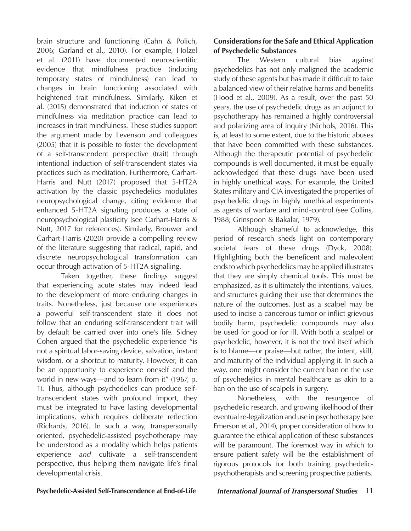brain structure and functioning (Cahn & Polich, 2006; Garland et al., 2010). For example, Holzel et al. (2011) have documented neuroscientific evidence that mindfulness practice (inducing temporary states of mindfulness) can lead to changes in brain functioning associated with heightened trait mindfulness. Similarly, Kiken et al. (2015) demonstrated that induction of states of mindfulness via meditation practice can lead to increases in trait mindfulness. These studies support the argument made by Levenson and colleagues (2005) that it is possible to foster the development of a self-transcendent perspective (trait) through intentional induction of self-transcendent states via practices such as meditation. Furthermore, Carhart-Harris and Nutt (2017) proposed that 5-HT2A activation by the classic psychedelics modulates neuropsychological change, citing evidence that enhanced 5-HT2A signaling produces a state of neuropsychological plasticity (see Carhart-Harris & Nutt, 2017 for references). Similarly, Brouwer and Carhart-Harris (2020) provide a compelling review of the literature suggesting that radical, rapid, and discrete neuropsychological transformation can occur through activation of 5-HT2A signalling.

Taken together, these findings suggest that experiencing acute states may indeed lead to the development of more enduring changes in traits. Nonetheless, just because one experiences a powerful self-transcendent state it does not follow that an enduring self-transcendent trait will by default be carried over into one's life. Sidney Cohen argued that the psychedelic experience "is not a spiritual labor-saving device, salvation, instant wisdom, or a shortcut to maturity. However, it can be an opportunity to experience oneself and the world in new ways—and to learn from it" (1967, p. 1). Thus, although psychedelics can produce selftranscendent states with profound import, they must be integrated to have lasting developmental implications, which requires deliberate reflection (Richards, 2016). In such a way, transpersonally oriented, psychedelic-assisted psychotherapy may be understood as a modality which helps patients experience *and* cultivate a self-transcendent perspective, thus helping them navigate life's final developmental crisis.

# **Considerations for the Safe and Ethical Application of Psychedelic Substances**

The Western cultural bias against psychedelics has not only maligned the academic study of these agents but has made it difficult to take a balanced view of their relative harms and benefits (Hood et al., 2009). As a result, over the past 50 years, the use of psychedelic drugs as an adjunct to psychotherapy has remained a highly controversial and polarizing area of inquiry (Nichols, 2016). This is, at least to some extent, due to the historic abuses that have been committed with these substances. Although the therapeutic potential of psychedelic compounds is well documented, it must be equally acknowledged that these drugs have been used in highly unethical ways. For example, the United States military and CIA investigated the properties of psychedelic drugs in highly unethical experiments as agents of warfare and mind-control (see Collins, 1988; Grinspoon & Bakalar, 1979).

Although shameful to acknowledge, this period of research sheds light on contemporary societal fears of these drugs (Dyck, 2008). Highlighting both the beneficent and malevolent ends to which psychedelics may be applied illustrates that they are simply chemical tools. This must be emphasized, as it is ultimately the intentions, values, and structures guiding their use that determines the nature of the outcomes. Just as a scalpel may be used to incise a cancerous tumor or inflict grievous bodily harm, psychedelic compounds may also be used for good or for ill. With both a scalpel or psychedelic, however, it is not the tool itself which is to blame—or praise—but rather, the intent, skill, and maturity of the individual applying it. In such a way, one might consider the current ban on the use of psychedelics in mental healthcare as akin to a ban on the use of scalpels in surgery.

Nonetheless, with the resurgence of psychedelic research, and growing likelihood of their eventual re-legalization and use in psychotherapy (see Emerson et al., 2014), proper consideration of how to guarantee the ethical application of these substances will be paramount. The foremost way in which to ensure patient safety will be the establishment of rigorous protocols for both training psychedelicpsychotherapists and screening prospective patients.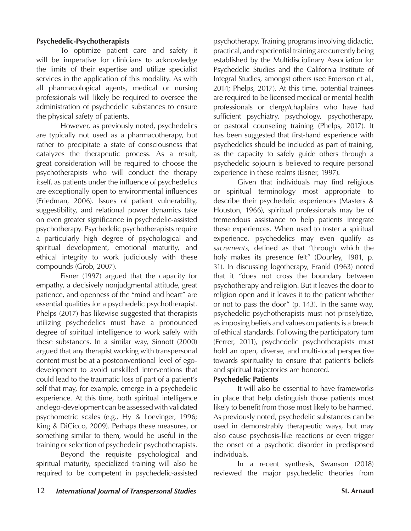## **Psychedelic-Psychotherapists**

To optimize patient care and safety it will be imperative for clinicians to acknowledge the limits of their expertise and utilize specialist services in the application of this modality. As with all pharmacological agents, medical or nursing professionals will likely be required to oversee the administration of psychedelic substances to ensure the physical safety of patients.

However, as previously noted, psychedelics are typically not used as a pharmacotherapy, but rather to precipitate a state of consciousness that catalyzes the therapeutic process. As a result, great consideration will be required to choose the psychotherapists who will conduct the therapy itself, as patients under the influence of psychedelics are exceptionally open to environmental influences (Friedman, 2006). Issues of patient vulnerability, suggestibility, and relational power dynamics take on even greater significance in psychedelic-assisted psychotherapy. Psychedelic psychotherapists require a particularly high degree of psychological and spiritual development, emotional maturity, and ethical integrity to work judiciously with these compounds (Grob, 2007).

Eisner (1997) argued that the capacity for empathy, a decisively nonjudgmental attitude, great patience, and openness of the "mind and heart" are essential qualities for a psychedelic psychotherapist. Phelps (2017) has likewise suggested that therapists utilizing psychedelics must have a pronounced degree of spiritual intelligence to work safely with these substances. In a similar way, Sinnott (2000) argued that any therapist working with transpersonal content must be at a postconventional level of egodevelopment to avoid unskilled interventions that could lead to the traumatic loss of part of a patient's self that may, for example, emerge in a psychedelic experience. At this time, both spiritual intelligence and ego-development can be assessed with validated psychometric scales (e.g., Hy & Loevinger, 1996; King & DiCicco, 2009). Perhaps these measures, or something similar to them, would be useful in the training or selection of psychedelic psychotherapists.

Beyond the requisite psychological and spiritual maturity, specialized training will also be required to be competent in psychedelic-assisted

psychotherapy. Training programs involving didactic, practical, and experiential training are currently being established by the Multidisciplinary Association for Psychedelic Studies and the California Institute of Integral Studies, amongst others (see Emerson et al., 2014; Phelps, 2017). At this time, potential trainees are required to be licensed medical or mental health professionals or clergy/chaplains who have had sufficient psychiatry, psychology, psychotherapy, or pastoral counseling training (Phelps, 2017). It has been suggested that first-hand experience with psychedelics should be included as part of training, as the capacity to safely guide others through a psychedelic sojourn is believed to require personal experience in these realms (Eisner, 1997).

Given that individuals may find religious or spiritual terminology most appropriate to describe their psychedelic experiences (Masters & Houston, 1966), spiritual professionals may be of tremendous assistance to help patients integrate these experiences. When used to foster a spiritual experience, psychedelics may even qualify as *sacraments*, defined as that "through which the holy makes its presence felt" (Dourley, 1981, p. 31). In discussing logotherapy, Frankl (1963) noted that it "does not cross the boundary between psychotherapy and religion. But it leaves the door to religion open and it leaves it to the patient whether or not to pass the door" (p. 143). In the same way, psychedelic psychotherapists must not proselytize, as imposing beliefs and values on patients is a breach of ethical standards. Following the participatory turn (Ferrer, 2011), psychedelic psychotherapists must hold an open, diverse, and multi-focal perspective towards spirituality to ensure that patient's beliefs and spiritual trajectories are honored.

### **Psychedelic Patients**

It will also be essential to have frameworks in place that help distinguish those patients most likely to benefit from those most likely to be harmed. As previously noted, psychedelic substances can be used in demonstrably therapeutic ways, but may also cause psychosis-like reactions or even trigger the onset of a psychotic disorder in predisposed individuals.

In a recent synthesis, Swanson (2018) reviewed the major psychedelic theories from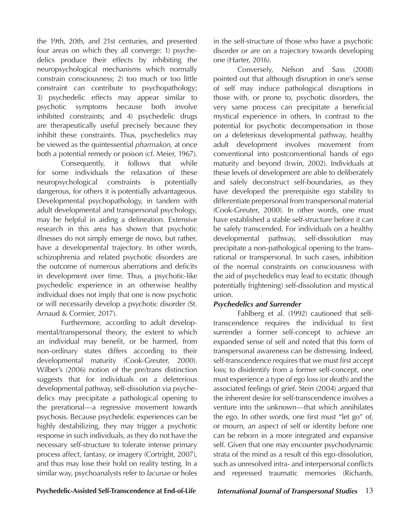the 19th, 20th, and 21st centuries, and presented four areas on which they all converge: 1) psychedelics produce their effects by inhibiting the neuropsychological mechanisms which normally constrain consciousness; 2) too much or too little constraint can contribute to psychopathology; 3) psychedelic effects may appear similar to psychotic symptoms because both involve inhibited constraints; and 4) psychedelic drugs are therapeutically useful precisely because they inhibit these constraints. Thus, psychedelics may be viewed as the quintessential *pharmakon*, at once both a potential remedy or poison (cf. Meier, 1967).

Consequently, it follows that while for some individuals the relaxation of these neuropsychological constraints is potentially dangerous, for others it is potentially advantageous. Developmental psychopathology, in tandem with adult developmental and transpersonal psychology, may be helpful in aiding a delineation. Extensive research in this area has shown that psychotic illnesses do not simply emerge de novo, but rather, have a developmental trajectory. In other words, schizophrenia and related psychotic disorders are the outcome of numerous aberrations and deficits in development over time. Thus, a psychotic-like psychedelic experience in an otherwise healthy individual does not imply that one is now psychotic or will necessarily develop a psychotic disorder (St. Arnaud & Cormier, 2017).

Furthermore, according to adult developmental/transpersonal theory, the extent to which an individual may benefit, or be harmed, from non-ordinary states differs according to their developmental maturity (Cook-Greuter, 2000). Wilber's (2006) notion of the pre/trans distinction suggests that for individuals on a deleterious developmental pathway, self-dissolution via psychedelics may precipitate a pathological opening to the prerational—a regressive movement towards psychosis. Because psychedelic experiences can be highly destabilizing, they may trigger a psychotic response in such individuals, as they do not have the necessary self-structure to tolerate intense primary process affect, fantasy, or imagery (Cortright, 2007), and thus may lose their hold on reality testing. In a similar way, psychoanalysts refer to *lacunae* or holes

in the self-structure of those who have a psychotic disorder or are on a trajectory towards developing one (Harter, 2016).

Conversely, Nelson and Sass (2008) pointed out that although disruption in one's sense of self may induce pathological disruptions in those with, or prone to, psychotic disorders, the very same process can precipitate a beneficial mystical experience in others. In contrast to the potential for psychotic decompensation in those on a deleterious developmental pathway, healthy adult development involves movement from conventional into postconventional bands of ego maturity and beyond (Irwin, 2002). Individuals at these levels of development are able to deliberately and safely deconstruct self-boundaries, as they have developed the prerequisite ego stability to differentiate prepersonal from transpersonal material (Cook-Greuter, 2000). In other words, one must have established a stable self-structure before it can be safely transcended. For individuals on a healthy developmental pathway, self-dissolution may precipitate a non-pathological opening to the transrational or transpersonal. In such cases, inhibition of the normal constraints on consciousness with the aid of psychedelics may lead to ecstatic (though potentially frightening) self-dissolution and mystical union.

# *Psychedelics and Surrender*

Fahlberg et al. (1992) cautioned that selftranscendence requires the individual to first surrender a former self-concept to achieve an expanded sense of self and noted that this form of transpersonal awareness can be distressing. Indeed, self-transcendence requires that we must first accept loss; to disidentify from a former self-concept, one must experience a type of ego loss (or death) and the associated feelings of grief. Stein (2004) argued that the inherent desire for self-transcendence involves a venture into the unknown—that which annihilates the ego. In other words, one first must "let go" of, or mourn, an aspect of self or identity before one can be reborn in a more integrated and expansive self. Given that one may encounter psychodynamic strata of the mind as a result of this ego-dissolution, such as unresolved intra- and interpersonal conflicts and repressed traumatic memories (Richards,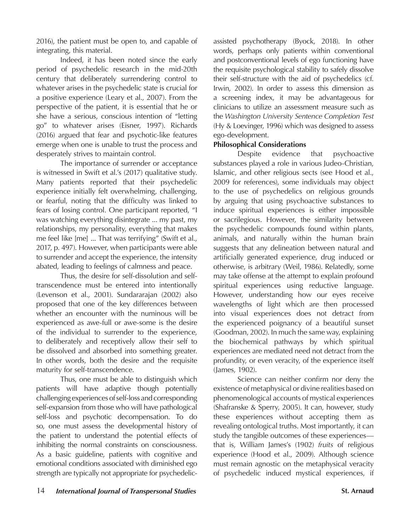2016), the patient must be open to, and capable of integrating, this material.

Indeed, it has been noted since the early period of psychedelic research in the mid-20th century that deliberately surrendering control to whatever arises in the psychedelic state is crucial for a positive experience (Leary et al., 2007). From the perspective of the patient, it is essential that he or she have a serious, conscious intention of "letting go" to whatever arises (Eisner, 1997). Richards (2016) argued that fear and psychotic-like features emerge when one is unable to trust the process and desperately strives to maintain control.

The importance of surrender or acceptance is witnessed in Swift et al.'s (2017) qualitative study. Many patients reported that their psychedelic experience initially felt overwhelming, challenging, or fearful, noting that the difficulty was linked to fears of losing control. One participant reported, "I was watching everything disintegrate ... my past, my relationships, my personality, everything that makes me feel like [me] ... That was terrifying" (Swift et al., 2017, p. 497). However, when participants were able to surrender and accept the experience, the intensity abated, leading to feelings of calmness and peace.

Thus, the desire for self-dissolution and selftranscendence must be entered into intentionally (Levenson et al., 2001). Sundararajan (2002) also proposed that one of the key differences between whether an encounter with the numinous will be experienced as awe-full or awe-some is the desire of the individual to surrender to the experience, to deliberately and receptively allow their self to be dissolved and absorbed into something greater. In other words, both the desire and the requisite maturity for self-transcendence.

Thus, one must be able to distinguish which patients will have adaptive though potentially challenging experiences of self-loss and corresponding self-expansion from those who will have pathological self-loss and psychotic decompensation. To do so, one must assess the developmental history of the patient to understand the potential effects of inhibiting the normal constraints on consciousness. As a basic guideline, patients with cognitive and emotional conditions associated with diminished ego strength are typically not appropriate for psychedelicassisted psychotherapy (Byock, 2018). In other words, perhaps only patients within conventional and postconventional levels of ego functioning have the requisite psychological stability to safely dissolve their self-structure with the aid of psychedelics (cf. Irwin, 2002). In order to assess this dimension as a screening index, it may be advantageous for clinicians to utilize an assessment measure such as the *Washington University Sentence Completion Test* (Hy & Loevinger, 1996) which was designed to assess ego-development.

# **Philosophical Considerations**

Despite evidence that psychoactive substances played a role in various Judeo-Christian, Islamic, and other religious sects (see Hood et al., 2009 for references), some individuals may object to the use of psychedelics on religious grounds by arguing that using psychoactive substances to induce spiritual experiences is either impossible or sacrilegious. However, the similarity between the psychedelic compounds found within plants, animals, and naturally within the human brain suggests that any delineation between natural and artificially generated experience, drug induced or otherwise, is arbitrary (Weil, 1986). Relatedly, some may take offense at the attempt to explain profound spiritual experiences using reductive language. However, understanding how our eyes receive wavelengths of light which are then processed into visual experiences does not detract from the experienced poignancy of a beautiful sunset (Goodman, 2002). In much the same way, explaining the biochemical pathways by which spiritual experiences are mediated need not detract from the profundity, or even veracity, of the experience itself (James, 1902).

Science can neither confirm nor deny the existence of metaphysical or divine realities based on phenomenological accounts of mystical experiences (Shafranske & Sperry, 2005). It can, however, study these experiences without accepting them as revealing ontological truths. Most importantly, it can study the tangible outcomes of these experiences that is, William James's (1902) *fruits* of religious experience (Hood et al., 2009). Although science must remain agnostic on the metaphysical veracity of psychedelic induced mystical experiences, if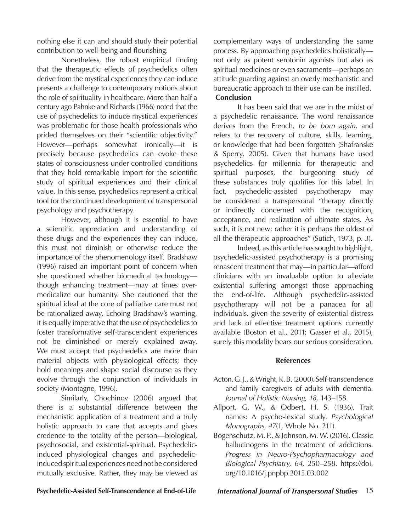nothing else it can and should study their potential contribution to well-being and flourishing.

Nonetheless, the robust empirical finding that the therapeutic effects of psychedelics often derive from the mystical experiences they can induce presents a challenge to contemporary notions about the role of spirituality in healthcare. More than half a century ago Pahnke and Richards (1966) noted that the use of psychedelics to induce mystical experiences was problematic for those health professionals who prided themselves on their "scientific objectivity." However—perhaps somewhat ironically—it is precisely because psychedelics can evoke these states of consciousness under controlled conditions that they hold remarkable import for the scientific study of spiritual experiences and their clinical value. In this sense, psychedelics represent a critical tool for the continued development of transpersonal psychology and psychotherapy.

However, although it is essential to have a scientific appreciation and understanding of these drugs and the experiences they can induce, this must not diminish or otherwise reduce the importance of the phenomenology itself. Bradshaw (1996) raised an important point of concern when she questioned whether biomedical technology though enhancing treatment—may at times overmedicalize our humanity. She cautioned that the spiritual ideal at the core of palliative care must not be rationalized away. Echoing Bradshaw's warning, it is equally imperative that the use of psychedelics to foster transformative self-transcendent experiences not be diminished or merely explained away. We must accept that psychedelics are more than material objects with physiological effects; they hold meanings and shape social discourse as they evolve through the conjunction of individuals in society (Montagne, 1996).

Similarly, Chochinov (2006) argued that there is a substantial difference between the mechanistic application of a treatment and a truly holistic approach to care that accepts and gives credence to the totality of the person—biological, psychosocial, and existential-spiritual. Psychedelicinduced physiological changes and psychedelicinduced spiritual experiences need not be considered mutually exclusive. Rather, they may be viewed as

complementary ways of understanding the same process. By approaching psychedelics holistically not only as potent serotonin agonists but also as spiritual medicines or even sacraments—perhaps an attitude guarding against an overly mechanistic and bureaucratic approach to their use can be instilled. **Conclusion**

It has been said that we are in the midst of a psychedelic renaissance. The word renaissance derives from the French, *to be born again*, and refers to the recovery of culture, skills, learning, or knowledge that had been forgotten (Shafranske & Sperry, 2005). Given that humans have used psychedelics for millennia for therapeutic and spiritual purposes, the burgeoning study of these substances truly qualifies for this label. In fact, psychedelic-assisted psychotherapy may be considered a transpersonal "therapy directly or indirectly concerned with the recognition, acceptance, and realization of ultimate states. As such, it is not new; rather it is perhaps the oldest of all the therapeutic approaches" (Sutich, 1973, p. 3).

Indeed, as this article has sought to highlight, psychedelic-assisted psychotherapy is a promising renascent treatment that may—in particular—afford clinicians with an invaluable option to alleviate existential suffering amongst those approaching the end-of-life. Although psychedelic-assisted psychotherapy will not be a panacea for all individuals, given the severity of existential distress and lack of effective treatment options currently available (Boston et al., 2011; Gasser et al., 2015), surely this modality bears our serious consideration.

### **References**

- Acton, G. J., & Wright, K. B. (2000). Self-transcendence and family caregivers of adults with dementia. *Journal of Holistic Nursing, 18,* 143–158.
- Allport, G. W., & Odbert, H. S. (1936). Trait names: A psycho-lexical study. *Psychological Monographs, 47*(1, Whole No. 211).
- Bogenschutz, M. P., & Johnson, M. W. (2016). Classic hallucinogens in the treatment of addictions. *Progress in Neuro-Psychopharmacology and Biological Psychiatry, 64,* 250–258. https://doi. org/10.1016/j.pnpbp.2015.03.002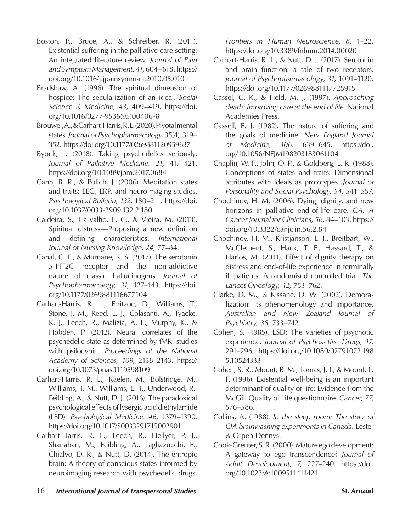- Boston, P., Bruce, A., & Schreiber, R. (2011). Existential suffering in the palliative care setting: An integrated literature review. *Journal of Pain and Symptom Management, 41,* 604–618. https:// doi.org/10.1016/j.jpainsymman.2010.05.010
- Bradshaw, A. (1996). The spiritual dimension of hospice: The secularization of an ideal. *Social Science & Medicine, 43,* 409–419. https://doi. org/10.1016/0277-9536(95)00406-8
- Brouwer, A., & Carhart-Harris, R. L. (2020). Pivotal mental states. *Journal of Psychopharmacology,* 35(4), 319– 352. https://doi.org/10.1177/0269881120959637
- Byock, I. (2018). Taking psychedelics seriously. *Journal of Palliative Medicine, 21,* 417–421. https://doi.org/10.1089/jpm.2017.0684
- Cahn, B. R., & Polich, J. (2006). Meditation states and traits: EEG, ERP, and neuroimaging studies. *Psychological Bulletin, 132,* 180–211. https://doi. org/10.1037/0033-2909.132.2.180
- Caldeira, S., Carvalho, E. C., & Vieira, M. (2013). Spiritual distress—Proposing a new definition and defining characteristics. *International Journal of Nursing Knowledge, 24,* 77–84.
- Canal, C. E., & Murnane, K. S. (2017). The serotonin 5-HT2C receptor and the non-addictive nature of classic hallucinogens. *Journal of Psychopharmacology, 31,* 127–143. https://doi. org/10.1177/0269881116677104
- Carhart-Harris, R. L., Erritzoe, D., Williams, T., Stone, J. M., Reed, L. J., Colasanti, A., Tyacke, R. J., Leech, R., Malizia, A. L., Murphy, K., & Hobden, P. (2012). Neural correlates of the psychedelic state as determined by fMRI studies with psilocybin. *Proceedings of the National Academy of Sciences, 109,* 2138–2143. https:// doi.org/10.1073/pnas.1119598109
- Carhart-Harris, R. L., Kaelen, M., Bolstridge, M., Williams, T. M., Williams, L. T., Underwood, R., Feilding, A., & Nutt, D. J. (2016). The paradoxical psychological effects of lysergic acid diethylamide (LSD). *Psychological Medicine, 46,* 1379–1390. https://doi.org/10.1017/S0033291715002901
- Carhart-Harris, R. L., Leech, R., Hellyer, P. J., Shanahan, M., Feilding, A., Tagliazucchi, E., Chialvo, D. R., & Nutt, D. (2014). The entropic brain: A theory of conscious states informed by neuroimaging research with psychedelic drugs.

*Frontiers in Human Neuroscience, 8,* 1–22. https://doi.org/10.3389/fnhum.2014.00020

- Carhart-Harris, R. L., & Nutt, D. J. (2017). Serotonin and brain function: a tale of two receptors. *Journal of Psychopharmacology, 31,* 1091–1120. https://doi.org/10.1177/0269881117725915
- Cassel, C. K., & Field, M. J. (1997). *Approaching death: Improving care at the end of life.* National Academies Press.
- Cassell, E. J. (1982). The nature of suffering and the goals of medicine. *New England Journal of Medicine, 306,* 639–645. https://doi. org/10.1056/NEJM198203183061104
- Chaplin, W. F., John, O. P., & Goldberg, L. R. (1988). Conceptions of states and traits: Dimensional attributes with ideals as prototypes. *Journal of Personality and Social Psychology, 54,* 541–557.
- Chochinov, H. M. (2006). Dying, dignity, and new horizons in palliative end-of-life care. *CA: A Cancer Journal for Clinicians, 56,* 84–103. https:// doi.org/10.3322/canjclin.56.2.84
- Chochinov, H. M., Kristjanson, L. J., Breitbart, W., McClement, S., Hack, T. F., Hassard, T., & Harlos, M. (2011). Effect of dignity therapy on distress and end-of-life experience in terminally ill patients: A randomised controlled trial. *The Lancet Oncology, 12,* 753–762.
- Clarke, D. M., & Kissane, D. W. (2002). Demoralization: Its phenomenology and importance. *Australian and New Zealand Journal of Psychiatry, 36*, 733–742.
- Cohen, S. (1985). LSD: The varieties of psychotic experience. *Journal of Psychoactive Drugs, 17,*  291–296. https://doi.org/10.1080/02791072.198 5.10524333
- Cohen, S. R., Mount, B. M., Tomas, J. J., & Mount, L. F. (1996). Existential well-being is an important determinant of quality of life: Evidence from the McGill Quality of Life questionnaire. *Cancer, 77,* 576–586.
- Collins, A. (1988). *In the sleep room: The story of CIA brainwashing experiments in Canada.* Lester & Orpen Dennys.
- Cook-Greuter, S. R. (2000). Mature ego development: A gateway to ego transcendence? *Journal of Adult Development, 7,* 227–240. https://doi. org/10.1023/A:1009511411421
- 16 *International Journal of Transpersonal Studies* **St. Arnaud**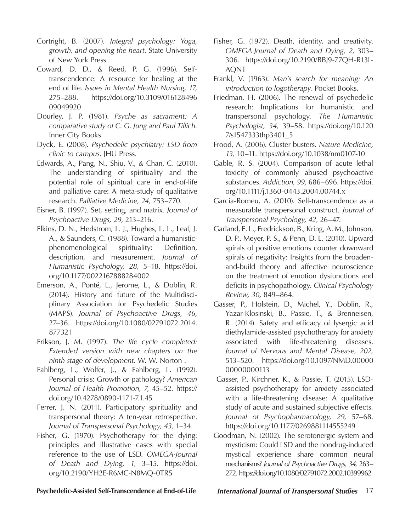- Cortright, B. (2007). *Integral psychology: Yoga, growth, and opening the heart.* State University of New York Press.
- Coward, D. D., & Reed, P. G. (1996). Selftranscendence: A resource for healing at the end of life. *Issues in Mental Health Nursing, 17,*  275–288. https://doi.org/10.3109/016128496 09049920
- Dourley, J. P. (1981). *Psyche as sacrament: A comparative study of C. G. Jung and Paul Tillich.*  Inner City Books.
- Dyck, E. (2008). *Psychedelic psychiatry: LSD from clinic to campus*. JHU Press.
- Edwards, A., Pang, N., Shiu, V., & Chan, C. (2010). The understanding of spirituality and the potential role of spiritual care in end-of-life and palliative care: A meta-study of qualitative research. *Palliative Medicine, 24,* 753–770.
- Eisner, B. (1997). Set, setting, and matrix. *Journal of Psychoactive Drugs, 29,* 213–216.
- Elkins, D. N., Hedstrom, L. J., Hughes, L. L., Leaf, J. A., & Saunders, C. (1988). Toward a humanisticphenomenological spirituality: Definition, description, and measurement. *Journal of Humanistic Psychology, 28,* 5–18. https://doi. org/10.1177/0022167888284002
- Emerson, A., Ponté, L., Jerome, L., & Doblin, R. (2014). History and future of the Multidisciplinary Association for Psychedelic Studies (MAPS). *Journal of Psychoactive Drugs, 46,*  27–36. https://doi.org/10.1080/02791072.2014. 877321
- Erikson, J. M. (1997). *The life cycle completed: Extended version with new chapters on the ninth stage of development.* W. W. Norton .
- Fahlberg, L., Wolfer, J., & Fahlberg, L. (1992). Personal crisis: Growth or pathology? *American Journal of Health Promotion, 7*, 45–52. https:// doi.org/10.4278/0890-1171-7.1.45
- Ferrer, J. N. (2011). Participatory spirituality and transpersonal theory: A ten-year retrospective. *Journal of Transpersonal Psychology, 43,* 1–34.
- Fisher, G. (1970). Psychotherapy for the dying: principles and illustrative cases with special reference to the use of LSD*. OMEGA-Journal of Death and Dying, 1,* 3–15. https://doi. org/10.2190/YH2E-R6MC-N8MQ-0TR5
- Fisher, G. (1972). Death, identity, and creativity. *OMEGA-Journal of Death and Dying, 2,* 303– 306. https://doi.org/10.2190/BBJ9-77QH-R13L-AQNT
- Frankl, V. (1963). *Man's search for meaning: An introduction to logotherapy.* Pocket Books.
- Friedman, H. (2006). The renewal of psychedelic research: Implications for humanistic and transpersonal psychology. *The Humanistic Psychologist, 34,* 39–58. https://doi.org/10.120 7/s1547333thp3401\_5
- Frood, A. (2006). Cluster busters. *Nature Medicine, 13,* 10–11. https://doi.org/10.1038/nm0107-10
- Gable, R. S. (2004). Comparison of acute lethal toxicity of commonly abused psychoactive substances. *Addiction, 99,* 686–696. https://doi. org/10.1111/j.1360-0443.2004.00744.x
- Garcia-Romeu, A. (2010). Self-transcendence as a measurable transpersonal construct. *Journal of Transpersonal Psychology, 42,* 26–47.
- Garland, E. L., Fredrickson, B., Kring, A. M., Johnson, D. P., Meyer, P. S., & Penn, D. L. (2010). Upward spirals of positive emotions counter downward spirals of negativity: Insights from the broadenand-build theory and affective neuroscience on the treatment of emotion dysfunctions and deficits in psychopathology. *Clinical Psychology Review, 30,* 849–864.
- Gasser, P., Holstein, D., Michel, Y., Doblin, R., Yazar-Klosinski, B., Passie, T., & Brenneisen, R. (2014). Safety and efficacy of lysergic acid diethylamide-assisted psychotherapy for anxiety associated with life-threatening diseases. *Journal of Nervous and Mental Disease, 202,* 513–520. https://doi.org/10.1097/NMD.00000 00000000113
- Gasser, P., Kirchner, K., & Passie, T. (2015). LSDassisted psychotherapy for anxiety associated with a life-threatening disease: A qualitative study of acute and sustained subjective effects*. Journal of Psychopharmacology, 29,* 57–68. https://doi.org/10.1177/0269881114555249
- Goodman, N. (2002). The serotonergic system and mysticism: Could LSD and the nondrug-induced mystical experience share common neural mechanisms? *Journal of Psychoactive Drugs, 34,* 263– 272. https://doi.org/10.1080/02791072.2002.10399962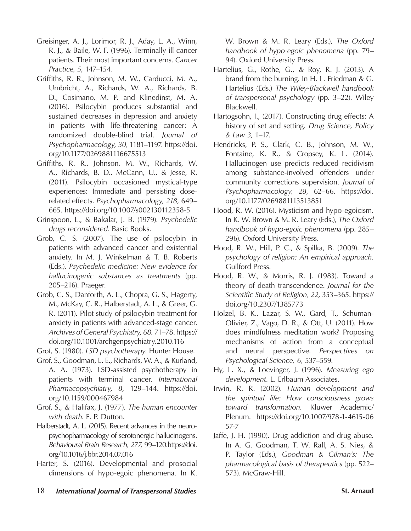- Greisinger, A. J., Lorimor, R. J., Aday, L. A., Winn, R. J., & Baile, W. F. (1996). Terminally ill cancer patients. Their most important concerns. *Cancer Practice, 5,* 147–154.
- Griffiths, R. R., Johnson, M. W., Carducci, M. A., Umbricht, A., Richards, W. A., Richards, B. D., Cosimano, M. P. and Klinedinst, M. A. (2016). Psilocybin produces substantial and sustained decreases in depression and anxiety in patients with life-threatening cancer: A randomized double-blind trial. *Journal of Psychopharmacology, 30,* 1181–1197. https://doi. org/10.1177/0269881116675513
- Griffiths, R. R., Johnson, M. W., Richards, W. A., Richards, B. D., McCann, U., & Jesse, R. (2011). Psilocybin occasioned mystical-type experiences: Immediate and persisting doserelated effects. *Psychopharmacology, 218,* 649– 665. https://doi.org/10.1007/s002130112358-5
- Grinspoon, L., & Bakalar, J. B. (1979). *Psychedelic drugs reconsidered.* Basic Books.
- Grob, C. S. (2007). The use of psilocybin in patients with advanced cancer and existential anxiety. In M. J. Winkelman & T. B. Roberts (Eds.), *Psychedelic medicine: New evidence for hallucinogenic substances as treatments* (pp. 205–216). Praeger.
- Grob, C. S., Danforth, A. L., Chopra, G. S., Hagerty, M., McKay, C. R., Halberstadt, A. L., & Greer, G. R. (2011). Pilot study of psilocybin treatment for anxiety in patients with advanced-stage cancer. *Archives of General Psychiatry, 68,* 71–78. https:// doi.org/10.1001/archgenpsychiatry.2010.116
- Grof, S. (1980). *LSD psychotherapy*. Hunter House.
- Grof, S., Goodman, L. E., Richards, W. A., & Kurland, A. A. (1973). LSD-assisted psychotherapy in patients with terminal cancer. *International Pharmacopsychiatry, 8,* 129–144. https://doi. org/10.1159/000467984
- Grof, S., & Halifax, J. (1977). *The human encounter with death*. E. P. Dutton.
- Halberstadt, A. L. (2015). Recent advances in the neuropsychopharmacology of serotonergic hallucinogens. *Behavioural Brain Research, 277,* 99–120.https://doi. org/10.1016/j.bbr.2014.07.016
- Harter, S. (2016). Developmental and prosocial dimensions of hypo-egoic phenomena. In K.

W. Brown & M. R. Leary (Eds.), *The Oxford handbook of hypo-egoic phenomena* (pp. 79– 94). Oxford University Press.

- Hartelius, G., Rothe, G., & Roy, R. J. (2013). A brand from the burning. In H. L. Friedman & G. Hartelius (Eds.) *The Wiley-Blackwell handbook of transpersonal psychology* (pp. 3–22). Wiley Blackwell.
- Hartogsohn, I., (2017). Constructing drug effects: A history of set and setting. *Drug Science, Policy & Law 3,* 1–17.
- Hendricks, P. S., Clark, C. B., Johnson, M. W., Fontaine, K. R., & Cropsey, K. L. (2014). Hallucinogen use predicts reduced recidivism among substance-involved offenders under community corrections supervision. *Journal of Psychopharmacology, 28,* 62–66. https://doi. org/10.1177/0269881113513851
- Hood, R. W. (2016). Mysticism and hypo-egoicism. In K. W. Brown & M. R. Leary (Eds.), *The Oxford handbook of hypo-egoic phenomena* (pp. 285– 296). Oxford University Press.
- Hood, R. W., Hill, P. C., & Spilka, B. (2009). *The psychology of religion: An empirical approach.*  Guilford Press.
- Hood, R. W., & Morris, R. J. (1983). Toward a theory of death transcendence. *Journal for the Scientific Study of Religion, 22,* 353–365. https:// doi.org/10.2307/1385773
- Holzel, B. K., Lazar, S. W., Gard, T., Schuman-Olivier, Z., Vago, D. R., & Ott, U. (2011). How does mindfulness meditation work? Proposing mechanisms of action from a conceptual and neural perspective. *Perspectives on Psychological Science, 6,* 537–559.
- Hy, L. X., & Loevinger, J. (1996). *Measuring ego development.* L. Erlbaum Associates.
- Irwin, R. R. (2002). *Human development and the spiritual life: How consciousness grows toward transformation.* Kluwer Academic/ Plenum. https://doi.org/10.1007/978-1-4615-06 57-7
- Jaffe, J. H. (1990). Drug addiction and drug abuse. In A. G. Goodman, T. W. Rall, A. S. Nies, & P. Taylor (Eds.), *Goodman & Gilman's: The pharmacological basis of therapeutics* (pp. 522– 573). McGraw-Hill.
- 18 *International Journal of Transpersonal Studies* **St. Arnaud**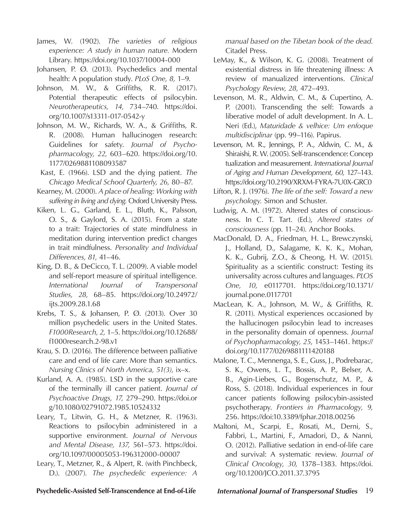- James, W. (1902). *The varieties of religious experience: A study in human nature.* Modern Library. https://doi.org/10.1037/10004-000
- Johansen, P. Ø. (2013). Psychedelics and mental health: A population study. *PLoS One, 8,* 1–9.
- Johnson, M. W., & Griffiths, R. R. (2017). Potential therapeutic effects of psilocybin. *Neurotherapeutics, 14,* 734–740. https://doi. org/10.1007/s13311-017-0542-y
- Johnson, M. W., Richards, W. A., & Griffiths, R. R. (2008). Human hallucinogen research: Guidelines for safety. *Journal of Psychopharmacology, 22,* 603–620. https://doi.org/10. 1177/0269881108093587
- Kast, E. (1966). LSD and the dying patient. *The Chicago Medical School Quarterly, 26,* 80–87.
- Kearney, M. (2000). *A place of healing: Working with suffering in living and dying.* Oxford University Press.
- Kiken, L. G., Garland, E. L., Bluth, K., Palsson, O. S., & Gaylord, S. A. (2015). From a state to a trait: Trajectories of state mindfulness in meditation during intervention predict changes in trait mindfulness. *Personality and Individual Differences, 81,* 41–46.
- King, D. B., & DeCicco, T. L. (2009). A viable model and self-report measure of spiritual intelligence*. International Journal of Transpersonal Studies, 28,* 68–85. https://doi.org/10.24972/ ijts.2009.28.1.68
- Krebs, T. S., & Johansen, P. Ø. (2013). Over 30 million psychedelic users in the United States. *F1000Research, 2,* 1–5. https://doi.org/10.12688/ f1000research.2-98.v1
- Krau, S. D. (2016). The difference between palliative care and end of life care: More than semantics. *Nursing Clinics of North America, 51(3),* ix–x.
- Kurland, A. A. (1985). LSD in the supportive care of the terminally ill cancer patient. *Journal of Psychoactive Drugs, 17,* 279–290. https://doi.or g/10.1080/02791072.1985.10524332
- Leary, T., Litwin, G. H., & Metzner, R. (1963). Reactions to psilocybin administered in a supportive environment. *Journal of Nervous and Mental Disease, 137,* 561–573. https://doi. org/10.1097/00005053-196312000-00007
- Leary, T., Metzner, R., & Alpert, R. (with Pinchbeck, D.). (2007). *The psychedelic experience: A*

*manual based on the Tibetan book of the dead.*  Citadel Press.

- LeMay, K., & Wilson, K. G. (2008). Treatment of existential distress in life threatening illness: A review of manualized interventions. *Clinical Psychology Review, 28,* 472–493.
- Levenson, M. R., Aldwin, C. M., & Cupertino, A. P. (2001). Transcending the self: Towards a liberative model of adult development. In A. L. Neri (Ed.), *Maturidade & velhice: Um enfoque multidisciplinar* (pp. 99–116). Papirus.
- Levenson, M. R., Jennings, P. A., Aldwin, C. M., & Shiraishi, R. W. (2005). Self-transcendence: Concep tualization and measurement. *International Journal of Aging and Human Development, 60,* 127–143. https://doi.org/10.2190/XRXM-FYRA-7U0X-GRC0
- Lifton, R. J. (1976). *The life of the self: Toward a new psychology.* Simon and Schuster.
- Ludwig, A. M. (1972). Altered states of consciousness. In C. T. Tart. (Ed*.*), *Altered states of consciousness* (pp. 11–24). Anchor Books.
- MacDonald, D. A., Friedman, H. L., Brewczynski, J., Holland, D., Salagame, K. K. K., Mohan, K. K., Gubrij, Z.O., & Cheong, H. W. (2015). Spirituality as a scientific construct: Testing its universality across cultures and languages. *PLOS One, 10,* e0117701. https://doi.org/10.1371/ journal.pone.0117701
- MacLean, K. A., Johnson, M. W., & Griffiths, R. R. (2011). Mystical experiences occasioned by the hallucinogen psilocybin lead to increases in the personality domain of openness. *Journal of Psychopharmacology, 25,* 1453–1461. https:// doi.org/10.1177/0269881111420188
- Malone, T. C., Mennenga, S. E., Guss, J., Podrebarac, S. K., Owens, L. T., Bossis, A. P., Belser, A. B., Agin-Liebes, G., Bogenschutz, M. P., & Ross, S. (2018). Individual experiences in four cancer patients following psilocybin-assisted psychotherapy. *Frontiers in Pharmacology, 9,*  256. https://doi:10.3389/fphar.2018.00256
- Maltoni, M., Scarpi, E., Rosati, M., Derni, S., Fabbri, L., Martini, F., Amadori, D., & Nanni, O. (2012). Palliative sedation in end-of-life care and survival: A systematic review. *Journal of Clinical Oncology, 30,* 1378–1383. https://doi. org/10.1200/JCO.2011.37.3795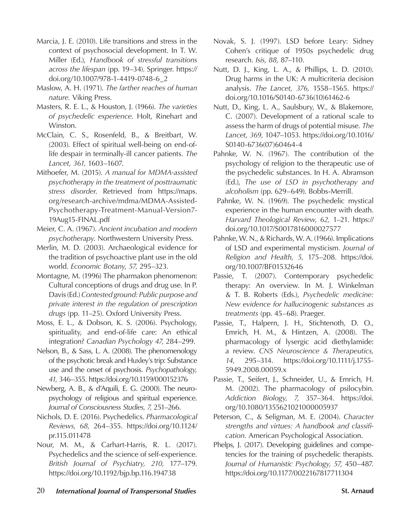- Marcia, J. E. (2010). Life transitions and stress in the context of psychosocial development. In T. W. Miller (Ed.), *Handbook of stressful transitions across the lifespan* (pp. 19–34). Springer. https:// doi.org/10.1007/978-1-4419-0748-6\_2
- Maslow, A. H. (1971). *The farther reaches of human nature.* Viking Press.
- Masters, R. E. L., & Houston, J. (1966). *The varieties of psychedelic experience*. Holt, Rinehart and Winston.
- McClain, C. S., Rosenfeld, B., & Breitbart, W. (2003). Effect of spiritual well-being on end-oflife despair in terminally-ill cancer patients. *The Lancet, 361,* 1603–1607.
- Mithoefer, M. (2015). *A manual for MDMA-assisted psychotherapy in the treatment of posttraumatic stress disorder*. Retrieved from https://maps. org/research-archive/mdma/MDMA-Assisted-Psychotherapy-Treatment-Manual-Version7- 19Aug15-FINAL.pdf
- Meier, C. A. (1967). *Ancient incubation and modern psychotherapy*. Northwestern University Press.
- Merlin, M. D. (2003). Archaeological evidence for the tradition of psychoactive plant use in the old world. *Economic Botany, 57,* 295–323.
- Montagne, M. (1996) The pharmakon phenomenon: Cultural conceptions of drugs and drug use. In P. Davis (Ed.) *Contested ground: Public purpose and private interest in the regulation of prescription drugs* (pp. 11–25). Oxford University Press.
- Moss, E. L., & Dobson, K. S. (2006). Psychology, spirituality, and end-of-life care: An ethical integration? *Canadian Psychology 47,* 284–299.
- Nelson, B., & Sass, L. A. (2008). The phenomenology of the psychotic break and Huxley's trip: Substance use and the onset of psychosis. *Psychopathology, 41,* 346–355. https://doi.org/10.1159/000152376
- Newberg, A. B., & d'Aquili, E. G. (2000). The neuropsychology of religious and spiritual experience. *Journal of Consciousness Studies, 7,* 251–266.
- Nichols, D. E. (2016). Psychedelics. *Pharmacological Reviews, 68,* 264–355. https://doi.org/10.1124/ pr.115.011478
- Nour, M. M., & Carhart-Harris, R. L. (2017). Psychedelics and the science of self-experience. *British Journal of Psychiatry, 210,* 177–179. https://doi.org/10.1192/bjp.bp.116.194738
- Novak, S. J. (1997). LSD before Leary: Sidney Cohen's critique of 1950s psychedelic drug research. *Isis, 88,* 87–110.
- Nutt, D. J., King, L. A., & Phillips, L. D. (2010). Drug harms in the UK: A multicriteria decision analysis. *The Lancet, 376,* 1558–1565. https:// doi.org/10.1016/S0140-6736(10)61462-6
- Nutt, D., King, L. A., Saulsbury, W., & Blakemore, C. (2007). Development of a rational scale to assess the harm of drugs of potential misuse. *The Lancet, 369,* 1047–1053. https://doi.org/10.1016/ S0140-6736(07)60464-4
- Pahnke, W. N. (1967). The contribution of the psychology of religion to the therapeutic use of the psychedelic substances. In H. A. Abramson (Ed.), *The use of LSD in psychotherapy and alcoholism* (pp. 629–649). Bobbs-Merrill.
- Pahnke, W. N. (1969). The psychedelic mystical experience in the human encounter with death. *Harvard Theological Review, 62,* 1–21. https:// doi.org/10.1017/S0017816000027577
- Pahnke, W. N., & Richards, W. A. (1966). Implications of LSD and experimental mysticism. *Journal of Religion and Health, 5,* 175–208. https://doi. org/10.1007/BF01532646
- Passie, T. (2007). Contemporary psychedelic therapy: An overview. In M. J. Winkelman & T. B. Roberts (Eds.), *Psychedelic medicine: New evidence for hallucinogenic substances as treatments* (pp. 45–68). Praeger.
- Passie, T., Halpern, J. H., Stichtenoth, D. O., Emrich, H. M., & Hintzen, A. (2008). The pharmacology of lysergic acid diethylamide: a review. *CNS Neuroscience & Therapeutics, 14,* 295–314. https://doi.org/10.1111/j.1755- 5949.2008.00059.x
- Passie, T., Seifert, J., Schneider, U., & Emrich, H. M. (2002). The pharmacology of psilocybin. *Addiction Biology, 7,* 357–364. https://doi. org/10.1080/1355621021000005937
- Peterson, C., & Seligman, M. E. (2004). *Character strengths and virtues: A handbook and classification.* American Psychological Association.
- Phelps, J. (2017). Developing guidelines and competencies for the training of psychedelic therapists. *Journal of Humanistic Psychology, 57,* 450–487. https://doi.org/10.1177/0022167817711304
- 20 *International Journal of Transpersonal Studies* **St. Arnaud**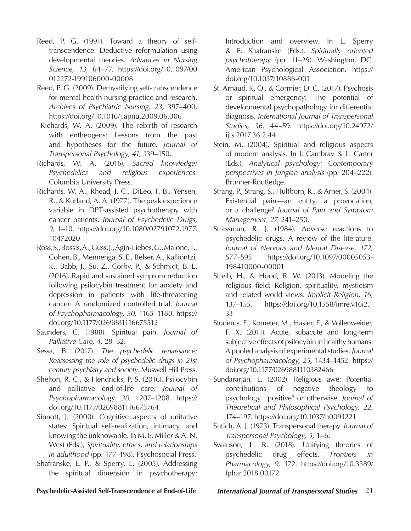- Reed, P. G. (1991). Toward a theory of selftranscendence: Deductive reformulation using developmental theories. *Advances in Nursing Science, 13*, 64–77. https://doi.org/10.1097/00 012272-199106000-00008
- Reed, P. G. (2009). Demystifying self-transcendence for mental health nursing practice and research. *Archives of Psychiatric Nursing, 23,* 397–400. https://doi.org/10.1016/j.apnu.2009.06.006
- Richards, W. A. (2009). The rebirth of research with entheogens: Lessons from the past and hypotheses for the future. *Journal of Transpersonal Psychology, 41,* 139–150.
- Richards, W. A. (2016). *Sacred knowledge: Psychedelics and religious experiences.*  Columbia University Press.
- Richards, W. A., Rhead, J. C., DiLeo, F. B., Yensen, R., & Kurland, A. A. (1977). The peak experience variable in DPT-assisted psychotherapy with cancer patients. *Journal of Psychedelic Drugs, 9,* 1–10. https://doi.org/10.1080/02791072.1977. 10472020
- Ross, S., Bossis, A., Guss, J., Agin-Liebes, G., Malone, T., Cohen, B., Mennenga, S. E., Belser, A., Kalliontzi, K., Babb, J., Su, Z., Corby, P., & Schmidt, B. L. (2016). Rapid and sustained symptom reduction following psilocybin treatment for anxiety and depression in patients with life-threatening cancer: A randomized controlled trial. *Journal of Psychopharmacology, 30,* 1165–1180. https:// doi.org/10.1177/0269881116675512
- Saunders, C. (1988). Spiritual pain. *Journal of Palliative Care, 4,* 29–32.
- Sessa, B. (2017). *The psychedelic renaissance: Reassessing the role of psychedelic drugs in 21st century psychiatry and society.* Muswell Hill Press.
- Shelton, R. C., & Hendricks, P. S. (2016). Psilocybin and palliative end-of-life care. *Journal of Psychopharmacology, 30,* 1207–1208. https:// doi.org/10.1177/0269881116675764
- Sinnott, J. (2000). Cognitive aspects of unitative states: Spiritual self-realization, intimacy, and knowing the unknowable. In M. E. Miller & A. N. West (Eds.), *Spirituality, ethics, and relationships in adulthood* (pp. 177–198). Psychosocial Press.
- Shafranske, E. P., & Sperry, L. (2005). Addressing the spiritual dimension in psychotherapy:

Introduction and overview. In L. Sperry & E. Shafranske (Eds.), *Spiritually oriented psychotherapy* (pp. 11–29). Washington, DC: American Psychological Association. https:// doi.org/10.1037/10886-001

- St. Arnaud, K. O., & Cormier, D. C. (2017). Psychosis or spiritual emergency: The potential of developmental psychopathology for differential diagnosis. *International Journal of Transpersonal Studies, 36,* 44–59. https://doi.org/10.24972/ ijts.2017.36.2.44
- Stein, M. (2004). Spiritual and religious aspects of modern analysis. In J. Cambray & L. Carter (Eds.), *Analytical psychology: Contemporary perspectives in Jungian analysis* (pp. 204–222). Brunner-Routledge.
- Strang, P., Strang, S., Hultborn, R., & Arnér, S. (2004). Existential pain—an entity, a provocation, or a challenge? *Journal of Pain and Symptom Management, 27,* 241–250.
- Strassman, R. J. (1984). Adverse reactions to psychedelic drugs. A review of the literature. *Journal of Nervous and Mental Disease, 172,* 577–595. https://doi.org/10.1097/00005053- 198410000-00001
- Streib, H., & Hood, R. W. (2013). Modeling the religious field: Religion, spirituality, mysticism and related world views. *Implicit Religion, 16*, 137–155. https://doi.org/10.1558/imre.v16i2.1 33
- Studerus, E., Kometer, M., Hasler, F., & Vollenweider, F. X. (2011). Acute, subacute and long-term subjective effects of psilocybin in healthy humans: A pooled analysis of experimental studies. *Journal of Psychopharmacology, 25,* 1434–1452. https:// doi.org/10.1177/0269881110382466
- Sundararjan, L. (2002). Religious awe: Potential contributions of negative theology to psychology, "positive" or otherwise. *Journal of Theoretical and Philosophical Psychology, 22,* 174–197. https://doi.org/10.1037/h0091221
- Sutich, A. J. (1973). Transpersonal therapy. *Journal of Transpersonal Psychology, 5,* 1–6.
- Swanson, L. R. (2018). Unifying theories of psychedelic drug effects*. Frontiers in Pharmacology, 9,* 172. https://doi.org/10.3389/ fphar.2018.00172